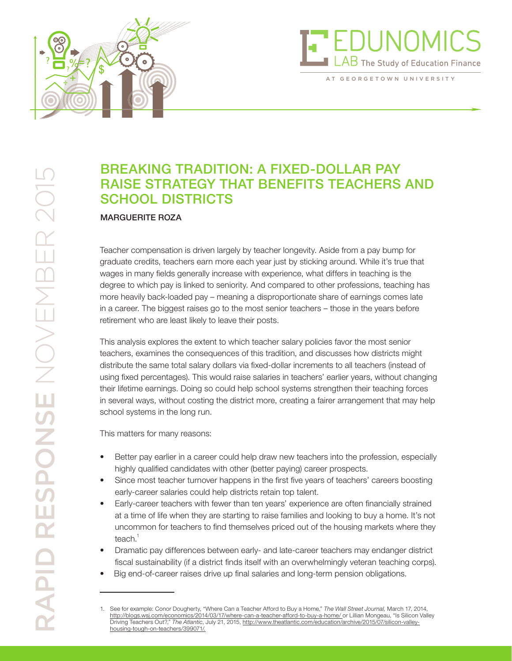

# EDUNOM  ${\rm AB}$  The Study of Education Finance

AT GEORGETOWN UNIVERSITY

# BREAKING TRADITION: A FIXED-DOLLAR PAY RAISE STRATEGY THAT BENEFITS TEACHERS AND SCHOOL DISTRICTS

#### MARGUERITE ROZA

Teacher compensation is driven largely by teacher longevity. Aside from a pay bump for graduate credits, teachers earn more each year just by sticking around. While it's true that wages in many fields generally increase with experience, what differs in teaching is the degree to which pay is linked to seniority. And compared to other professions, teaching has more heavily back-loaded pay – meaning a disproportionate share of earnings comes late in a career. The biggest raises go to the most senior teachers – those in the years before retirement who are least likely to leave their posts.

This analysis explores the extent to which teacher salary policies favor the most senior teachers, examines the consequences of this tradition, and discusses how districts might distribute the same total salary dollars via fixed-dollar increments to all teachers (instead of using fixed percentages). This would raise salaries in teachers' earlier years, without changing their lifetime earnings. Doing so could help school systems strengthen their teaching forces in several ways, without costing the district more, creating a fairer arrangement that may help school systems in the long run.

This matters for many reasons:

- Better pay earlier in a career could help draw new teachers into the profession, especially highly qualified candidates with other (better paying) career prospects.
- Since most teacher turnover happens in the first five years of teachers' careers boosting early-career salaries could help districts retain top talent.
- Early-career teachers with fewer than ten years' experience are often financially strained at a time of life when they are starting to raise families and looking to buy a home. It's not uncommon for teachers to find themselves priced out of the housing markets where they teach. $1$
- Dramatic pay differences between early- and late-career teachers may endanger district fiscal sustainability (if a district finds itself with an overwhelmingly veteran teaching corps).
- Big end-of-career raises drive up final salaries and long-term pension obligations.

<sup>1.</sup> See for example: Conor Dougherty, "Where Can a Teacher Afford to Buy a Home," *The Wall Street Journal,* March 17, 2014, http://blogs.wsj.com/economics/2014/03/17/where-can-a-teacher-afford-to-buy-a-home/ or Lillian Mongeau, "Is Silicon Valley Driving Teachers Out?," *The Atlantic*, July 21, 2015, http://www.theatlantic.com/education/archive/2015/07/silicon-valleyhousing-tough-on-teachers/399071/.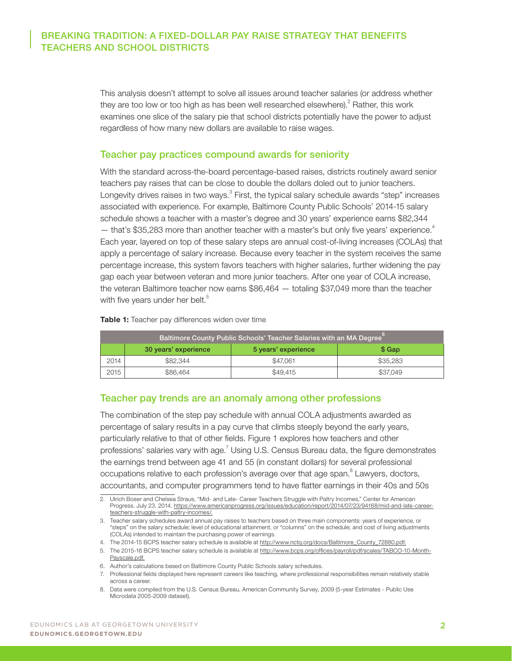This analysis doesn't attempt to solve all issues around teacher salaries (or address whether they are too low or too high as has been well researched elsewhere). $^2$  Rather, this work examines one slice of the salary pie that school districts potentially have the power to adjust regardless of how many new dollars are available to raise wages.

#### Teacher pay practices compound awards for seniority

With the standard across-the-board percentage-based raises, districts routinely award senior teachers pay raises that can be close to double the dollars doled out to junior teachers. Longevity drives raises in two ways.<sup>3</sup> First, the typical salary schedule awards "step" increases associated with experience. For example, Baltimore County Public Schools' 2014-15 salary schedule shows a teacher with a master's degree and 30 years' experience earns \$82,344  $-$  that's \$35,283 more than another teacher with a master's but only five years' experience.<sup>4</sup> Each year, layered on top of these salary steps are annual cost-of-living increases (COLAs) that apply a percentage of salary increase. Because every teacher in the system receives the same percentage increase, this system favors teachers with higher salaries, further widening the pay gap each year between veteran and more junior teachers. After one year of COLA increase, the veteran Baltimore teacher now earns \$86,464 — totaling \$37,049 more than the teacher with five years under her belt.<sup>5</sup>

Table 1: Teacher pay differences widen over time

| Baltimore County Public Schools' Teacher Salaries with an MA Degree |          |          |          |  |  |  |  |  |
|---------------------------------------------------------------------|----------|----------|----------|--|--|--|--|--|
| 30 years' experience<br>5 years' experience                         |          |          | \$ Gap   |  |  |  |  |  |
| 2014                                                                | \$82,344 | \$47,061 | \$35,283 |  |  |  |  |  |
| 2015                                                                | \$86,464 | \$49,415 | \$37,049 |  |  |  |  |  |

#### Teacher pay trends are an anomaly among other professions

The combination of the step pay schedule with annual COLA adjustments awarded as percentage of salary results in a pay curve that climbs steeply beyond the early years, particularly relative to that of other fields. Figure 1 explores how teachers and other professions' salaries vary with age.<sup>7</sup> Using U.S. Census Bureau data, the figure demonstrates the earnings trend between age 41 and 55 (in constant dollars) for several professional occupations relative to each profession's average over that age span. $8$  Lawyers, doctors, accountants, and computer programmers tend to have flatter earnings in their 40s and 50s

<sup>2.</sup> Ulrich Boser and Chelsea Straus, "Mid- and Late- Career Teachers Struggle with Paltry Incomes," Center for American Progress. July 23, 2014. https://www.americanprogress.org/issues/education/report/2014/07/23/94168/mid-and-late-careerteachers-struggle-with-paltry-incomes/.

<sup>3.</sup> Teacher salary schedules award annual pay raises to teachers based on three main components: years of experience, or "steps" on the salary schedule; level of educational attainment, or "columns" on the schedule; and cost of living adjustments (COLAs) intended to maintain the purchasing power of earnings.

<sup>4.</sup> The 2014-15 BCPS teacher salary schedule is available at http://www.nctq.org/docs/Baltimore\_County\_72880.pdf.

<sup>5.</sup> The 2015-16 BCPS teacher salary schedule is available at http://www.bcps.org/offices/payroll/pdf/scales/TABCO-10-Month-Payscale.pdf.

<sup>6.</sup> Author's calculations based on Baltimore County Public Schools salary schedules.

<sup>7.</sup> Professional fields displayed here represent careers like teaching, where professional responsibilities remain relatively stable across a career.

<sup>8.</sup> Data were compiled from the U.S. Census Bureau, American Community Survey, 2009 (5-year Estimates - Public Use Microdata 2005-2009 dataset).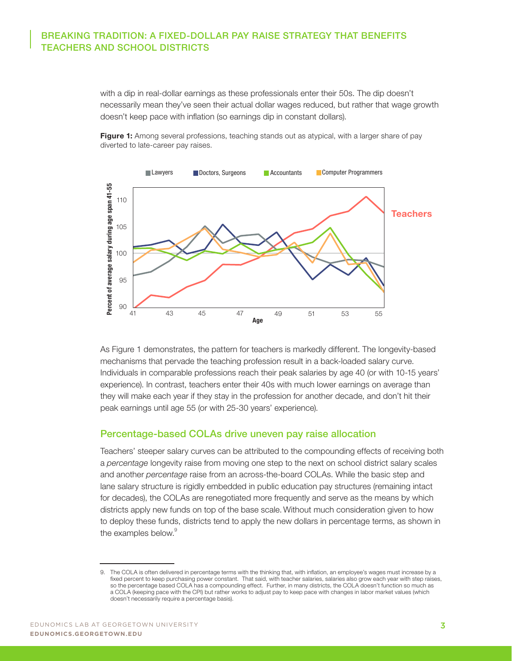with a dip in real-dollar earnings as these professionals enter their 50s. The dip doesn't necessarily mean they've seen their actual dollar wages reduced, but rather that wage growth doesn't keep pace with inflation (so earnings dip in constant dollars).





As Figure 1 demonstrates, the pattern for teachers is markedly different. The longevity-based mechanisms that pervade the teaching profession result in a back-loaded salary curve. Individuals in comparable professions reach their peak salaries by age 40 (or with 10-15 years' experience). In contrast, teachers enter their 40s with much lower earnings on average than they will make each year if they stay in the profession for another decade, and don't hit their peak earnings until age 55 (or with 25-30 years' experience).

#### Percentage-based COLAs drive uneven pay raise allocation

Teachers' steeper salary curves can be attributed to the compounding effects of receiving both a *percentage* longevity raise from moving one step to the next on school district salary scales and another *percentage* raise from an across-the-board COLAs. While the basic step and lane salary structure is rigidly embedded in public education pay structures (remaining intact for decades), the COLAs are renegotiated more frequently and serve as the means by which districts apply new funds on top of the base scale. Without much consideration given to how to deploy these funds, districts tend to apply the new dollars in percentage terms, as shown in the examples below.<sup>9</sup>

<sup>9.</sup> The COLA is often delivered in percentage terms with the thinking that, with inflation, an employee's wages must increase by a fixed percent to keep purchasing power constant. That said, with teacher salaries, salaries also grow each year with step raises, so the percentage based COLA has a compounding effect. Further, in many districts, the COLA doesn't function so much as a COLA (keeping pace with the CPI) but rather works to adjust pay to keep pace with changes in labor market values (which doesn't necessarily require a percentage basis).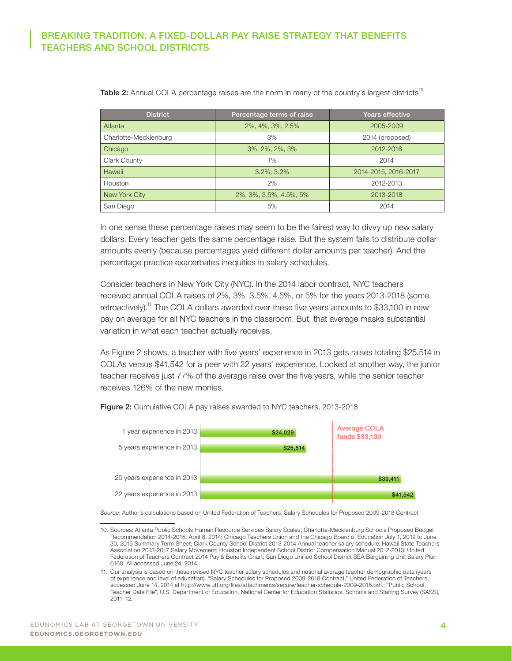| <b>District</b>       | Percentage terms of raise | Years effective      |  |
|-----------------------|---------------------------|----------------------|--|
| Atlanta               | 2%, 4%, 3%, 2.5%          | 2005-2009            |  |
| Charlotte-Mecklenburg | 3%                        | 2014 (proposed)      |  |
| Chicago               | 3%, 2%, 2%, 3%            | 2012-2016            |  |
| Clark County          | 1%                        | 2014                 |  |
| Hawaii                | $3.2\%$ , $3.2\%$         | 2014-2015, 2016-2017 |  |
| Houston               | 2%                        | 2012-2013            |  |
| New York City         | 2%, 3%, 3.5%, 4.5%, 5%    | 2013-2018            |  |
| San Diego             | 5%                        | 2014                 |  |

Table 2: Annual COLA percentage raises are the norm in many of the country's largest districts<sup>10</sup>

In one sense these percentage raises may seem to be the fairest way to divvy up new salary dollars. Every teacher gets the same percentage raise. But the system fails to distribute dollar amounts evenly (because percentages yield different dollar amounts per teacher). And the percentage practice exacerbates inequities in salary schedules.

Consider teachers in New York City (NYC). In the 2014 labor contract, NYC teachers received annual COLA raises of 2%, 3%, 3.5%, 4.5%, or 5% for the years 2013-2018 (some retroactively).<sup>11</sup> The COLA dollars awarded over these five years amounts to \$33,100 in new pay on average for all NYC teachers in the classroom. But, that average masks substantial variation in what each teacher actually receives.

As Figure 2 shows, a teacher with five years' experience in 2013 gets raises totaling \$25,514 in COLAs versus \$41,542 for a peer with 22 years' experience. Looked at another way, the junior teacher receives just 77% of the average raise over the five years, while the senior teacher receives 126% of the new monies.



Figure 2: Cumulative COLA pay raises awarded to NYC teachers, 2013-2018

*Source:* Author's calculations based on United Federation of Teachers, Salary Schedules for Proposed 2009-2018 Contract

<sup>10.</sup> Sources: Atlanta Public Schools Human Resource Services Salary Scales; Charlotte-Mecklenburg Schools Proposed Budget Recommendation 2014-2015. April 8, 2014; Chicago Teachers Union and the Chicago Board of Education July 1, 2012 to June 30, 2015 Summary Term Sheet; Clark County School District 2013-2014 Annual teacher salary schedule; Hawaii State Teachers Association 2013-2017 Salary Movement; Houston Independent School District Compensation Manual 2012-2013; United Federation of Teachers Contract 2014 Pay & Benefits Chart; San Diego Unified School District SEA Bargaining Unit Salary Plan 0160. All accessed June 24, 2014.

<sup>11.</sup> Our analysis is based on these revised NYC teacher salary schedules and national average teacher demographic data (years of experience and level of education). "Salary Schedules for Proposed 2009-2018 Contract," United Federation of Teachers, accessed June 14, 2014 at http://www.uft.org/files/attachments/secure/teacher-schedule-2009-2018.pdf.; "Public School Teacher Data File", U.S. Department of Education, National Center for Education Statistics, Schools and Staffing Survey (SASS), 2011–12.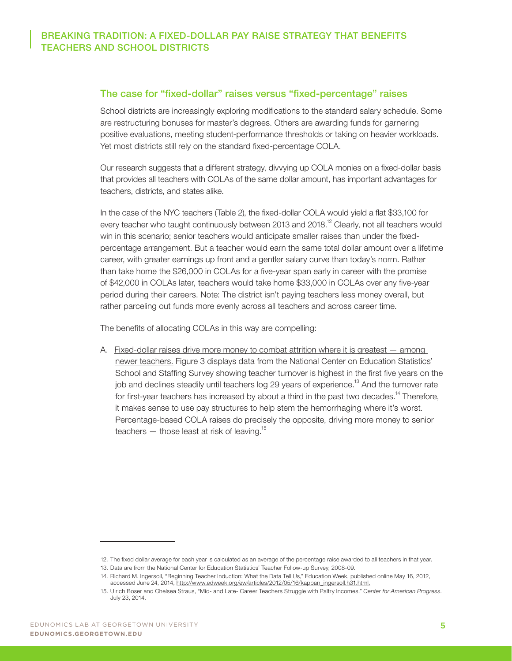#### The case for "fixed-dollar" raises versus "fixed-percentage" raises

School districts are increasingly exploring modifications to the standard salary schedule. Some are restructuring bonuses for master's degrees. Others are awarding funds for garnering positive evaluations, meeting student-performance thresholds or taking on heavier workloads. Yet most districts still rely on the standard fixed-percentage COLA.

Our research suggests that a different strategy, divvying up COLA monies on a fixed-dollar basis that provides all teachers with COLAs of the same dollar amount, has important advantages for teachers, districts, and states alike.

In the case of the NYC teachers (Table 2), the fixed-dollar COLA would yield a flat \$33,100 for every teacher who taught continuously between 2013 and 2018.<sup>12</sup> Clearly, not all teachers would win in this scenario; senior teachers would anticipate smaller raises than under the fixedpercentage arrangement. But a teacher would earn the same total dollar amount over a lifetime career, with greater earnings up front and a gentler salary curve than today's norm. Rather than take home the \$26,000 in COLAs for a five-year span early in career with the promise of \$42,000 in COLAs later, teachers would take home \$33,000 in COLAs over any five-year period during their careers. Note: The district isn't paying teachers less money overall, but rather parceling out funds more evenly across all teachers and across career time.

The benefits of allocating COLAs in this way are compelling:

A. Fixed-dollar raises drive more money to combat attrition where it is greatest — among newer teachers. Figure 3 displays data from the National Center on Education Statistics' School and Staffing Survey showing teacher turnover is highest in the first five years on the job and declines steadily until teachers log 29 years of experience.<sup>13</sup> And the turnover rate for first-year teachers has increased by about a third in the past two decades.<sup>14</sup> Therefore, it makes sense to use pay structures to help stem the hemorrhaging where it's worst. Percentage-based COLA raises do precisely the opposite, driving more money to senior teachers  $-$  those least at risk of leaving.<sup>15</sup>

<sup>12.</sup> The fixed dollar average for each year is calculated as an average of the percentage raise awarded to all teachers in that year.

<sup>13.</sup> Data are from the National Center for Education Statistics' Teacher Follow-up Survey, 2008-09.

<sup>14.</sup> Richard M. Ingersoll, "Beginning Teacher Induction: What the Data Tell Us," Education Week, published online May 16, 2012, accessed June 24, 2014, http://www.edweek.org/ew/articles/2012/05/16/kappan\_ingersoll.h31.html.

<sup>15.</sup> Ulrich Boser and Chelsea Straus, "Mid- and Late- Career Teachers Struggle with Paltry Incomes." *Center for American Progress*. July 23, 2014.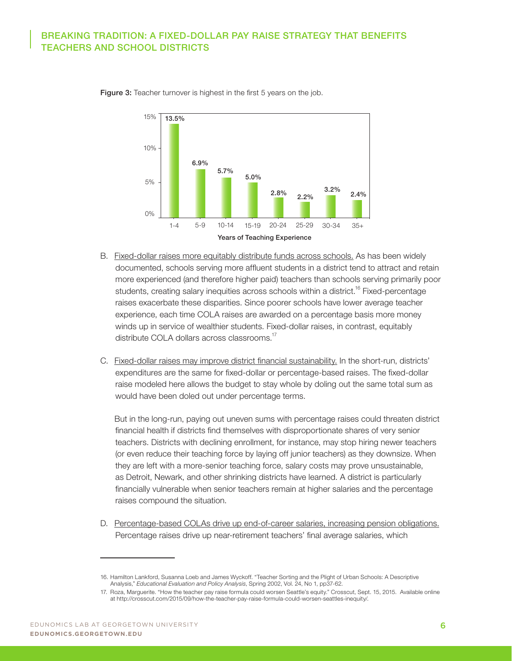

Figure 3: Teacher turnover is highest in the first 5 years on the job.

- B. Fixed-dollar raises more equitably distribute funds across schools. As has been widely documented, schools serving more affluent students in a district tend to attract and retain more experienced (and therefore higher paid) teachers than schools serving primarily poor students, creating salary inequities across schools within a district.<sup>16</sup> Fixed-percentage raises exacerbate these disparities. Since poorer schools have lower average teacher experience, each time COLA raises are awarded on a percentage basis more money winds up in service of wealthier students. Fixed-dollar raises, in contrast, equitably distribute COLA dollars across classrooms.<sup>17</sup>
- C. Fixed-dollar raises may improve district financial sustainability. In the short-run, districts' expenditures are the same for fixed-dollar or percentage-based raises. The fixed-dollar raise modeled here allows the budget to stay whole by doling out the same total sum as would have been doled out under percentage terms.

But in the long-run, paying out uneven sums with percentage raises could threaten district financial health if districts find themselves with disproportionate shares of very senior teachers. Districts with declining enrollment, for instance, may stop hiring newer teachers (or even reduce their teaching force by laying off junior teachers) as they downsize. When they are left with a more-senior teaching force, salary costs may prove unsustainable, as Detroit, Newark, and other shrinking districts have learned. A district is particularly financially vulnerable when senior teachers remain at higher salaries and the percentage raises compound the situation.

D. Percentage-based COLAs drive up end-of-career salaries, increasing pension obligations. Percentage raises drive up near-retirement teachers' final average salaries, which

<sup>16.</sup> Hamilton Lankford, Susanna Loeb and James Wyckoff. "Teacher Sorting and the Plight of Urban Schools: A Descriptive Analysis," *Educational Evaluation and Policy Analysis*, Spring 2002, Vol. 24, No 1, pp37-62.

<sup>17.</sup> Roza, Marguerite. "How the teacher pay raise formula could worsen Seattle's equity." Crosscut, Sept. 15, 2015. Available online at http://crosscut.com/2015/09/how-the-teacher-pay-raise-formula-could-worsen-seattles-inequity/.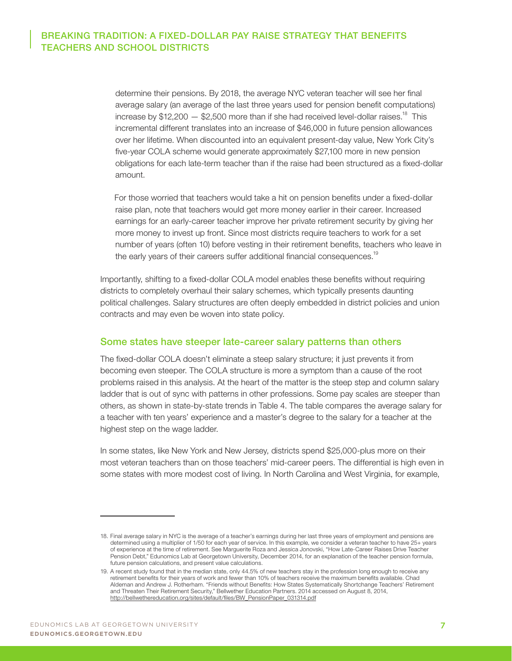determine their pensions. By 2018, the average NYC veteran teacher will see her final average salary (an average of the last three years used for pension benefit computations) increase by  $$12,200 - $2,500$  more than if she had received level-dollar raises.<sup>18</sup> This incremental different translates into an increase of \$46,000 in future pension allowances over her lifetime. When discounted into an equivalent present-day value, New York City's five-year COLA scheme would generate approximately \$27,100 more in new pension obligations for each late-term teacher than if the raise had been structured as a fixed-dollar amount.

For those worried that teachers would take a hit on pension benefits under a fixed-dollar raise plan, note that teachers would get more money earlier in their career. Increased earnings for an early-career teacher improve her private retirement security by giving her more money to invest up front. Since most districts require teachers to work for a set number of years (often 10) before vesting in their retirement benefits, teachers who leave in the early years of their careers suffer additional financial consequences.<sup>19</sup>

Importantly, shifting to a fixed-dollar COLA model enables these benefits without requiring districts to completely overhaul their salary schemes, which typically presents daunting political challenges. Salary structures are often deeply embedded in district policies and union contracts and may even be woven into state policy.

#### Some states have steeper late-career salary patterns than others

The fixed-dollar COLA doesn't eliminate a steep salary structure; it just prevents it from becoming even steeper. The COLA structure is more a symptom than a cause of the root problems raised in this analysis. At the heart of the matter is the steep step and column salary ladder that is out of sync with patterns in other professions. Some pay scales are steeper than others, as shown in state-by-state trends in Table 4. The table compares the average salary for a teacher with ten years' experience and a master's degree to the salary for a teacher at the highest step on the wage ladder.

In some states, like New York and New Jersey, districts spend \$25,000-plus more on their most veteran teachers than on those teachers' mid-career peers. The differential is high even in some states with more modest cost of living. In North Carolina and West Virginia, for example,

<sup>18.</sup> Final average salary in NYC is the average of a teacher's earnings during her last three years of employment and pensions are determined using a multiplier of 1/50 for each year of service. In this example, we consider a veteran teacher to have 25+ years of experience at the time of retirement. See Marguerite Roza and Jessica Jonovski, "How Late-Career Raises Drive Teacher Pension Debt," Edunomics Lab at Georgetown University, December 2014, for an explanation of the teacher pension formula, future pension calculations, and present value calculations.

<sup>19.</sup> A recent study found that in the median state, only 44.5% of new teachers stay in the profession long enough to receive any retirement benefits for their years of work and fewer than 10% of teachers receive the maximum benefits available. Chad Aldeman and Andrew J. Rotherham. "Friends without Benefits: How States Systematically Shortchange Teachers' Retirement and Threaten Their Retirement Security," Bellwether Education Partners. 2014 accessed on August 8, 2014, http://bellwethereducation.org/sites/default/files/BW\_PensionPaper\_031314.pdf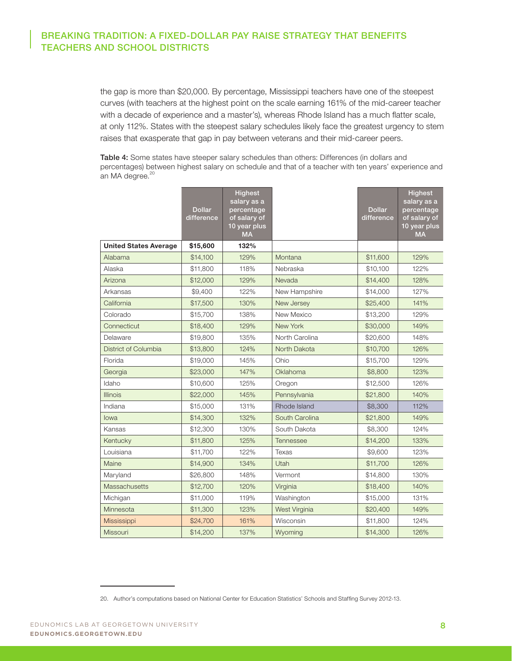the gap is more than \$20,000. By percentage, Mississippi teachers have one of the steepest curves (with teachers at the highest point on the scale earning 161% of the mid-career teacher with a decade of experience and a master's), whereas Rhode Island has a much flatter scale, at only 112%. States with the steepest salary schedules likely face the greatest urgency to stem raises that exasperate that gap in pay between veterans and their mid-career peers.

Table 4: Some states have steeper salary schedules than others: Differences (in dollars and percentages) between highest salary on schedule and that of a teacher with ten years' experience and an MA degree.<sup>20</sup>

|                              | <b>Dollar</b><br>difference | <b>Highest</b><br>salary as a<br>percentage<br>of salary of<br>10 year plus<br><b>MA</b> |                | <b>Dollar</b><br>difference | <b>Highest</b><br>salary as a<br>percentage<br>of salary of<br>10 year plus<br><b>MA</b> |
|------------------------------|-----------------------------|------------------------------------------------------------------------------------------|----------------|-----------------------------|------------------------------------------------------------------------------------------|
| <b>United States Average</b> | \$15,600                    | 132%                                                                                     |                |                             |                                                                                          |
| Alabama                      | \$14,100                    | 129%                                                                                     | Montana        | \$11,600                    | 129%                                                                                     |
| Alaska                       | \$11,800                    | 118%                                                                                     | Nebraska       | \$10,100                    | 122%                                                                                     |
| Arizona                      | \$12,000                    | 129%                                                                                     | Nevada         | \$14,400                    | 128%                                                                                     |
| Arkansas                     | \$9,400                     | 122%                                                                                     | New Hampshire  | \$14,000                    | 127%                                                                                     |
| California                   | \$17,500                    | 130%                                                                                     | New Jersey     | \$25,400                    | 141%                                                                                     |
| Colorado                     | \$15,700                    | 138%                                                                                     | New Mexico     | \$13,200                    | 129%                                                                                     |
| Connecticut                  | \$18,400                    | 129%                                                                                     | New York       | \$30,000                    | 149%                                                                                     |
| Delaware                     | \$19,800                    | 135%                                                                                     | North Carolina | \$20,600                    | 148%                                                                                     |
| District of Columbia         | \$13,800                    | 124%                                                                                     | North Dakota   | \$10,700                    | 126%                                                                                     |
| Florida                      | \$19,000                    | 145%                                                                                     | Ohio           | \$15,700                    | 129%                                                                                     |
| Georgia                      | \$23,000                    | 147%                                                                                     | Oklahoma       | \$8,800                     | 123%                                                                                     |
| Idaho                        | \$10,600                    | 125%                                                                                     | Oregon         | \$12,500                    | 126%                                                                                     |
| <b>Illinois</b>              | \$22,000                    | 145%                                                                                     | Pennsylvania   | \$21,800                    | 140%                                                                                     |
| Indiana                      | \$15,000                    | 131%                                                                                     | Rhode Island   | \$8,300                     | 112%                                                                                     |
| lowa                         | \$14,300                    | 132%                                                                                     | South Carolina | \$21,800                    | 149%                                                                                     |
| Kansas                       | \$12,300                    | 130%                                                                                     | South Dakota   | \$8,300                     | 124%                                                                                     |
| Kentucky                     | \$11,800                    | 125%                                                                                     | Tennessee      | \$14,200                    | 133%                                                                                     |
| Louisiana                    | \$11,700                    | 122%                                                                                     | Texas          | \$9,600                     | 123%                                                                                     |
| Maine                        | \$14,900                    | 134%                                                                                     | Utah           | \$11,700                    | 126%                                                                                     |
| Maryland                     | \$26,800                    | 148%                                                                                     | Vermont        | \$14,800                    | 130%                                                                                     |
| Massachusetts                | \$12,700                    | 120%                                                                                     | Virginia       | \$18,400                    | 140%                                                                                     |
| Michigan                     | \$11,000                    | 119%                                                                                     | Washington     | \$15,000                    | 131%                                                                                     |
| Minnesota                    | \$11,300                    | 123%                                                                                     | West Virginia  | \$20,400                    | 149%                                                                                     |
| Mississippi                  | \$24,700                    | 161%                                                                                     | Wisconsin      | \$11,800                    | 124%                                                                                     |
| <b>Missouri</b>              | \$14,200                    | 137%                                                                                     | Wyoming        | \$14,300                    | 126%                                                                                     |

<sup>20.</sup> Author's computations based on National Center for Education Statistics' Schools and Staffing Survey 2012-13.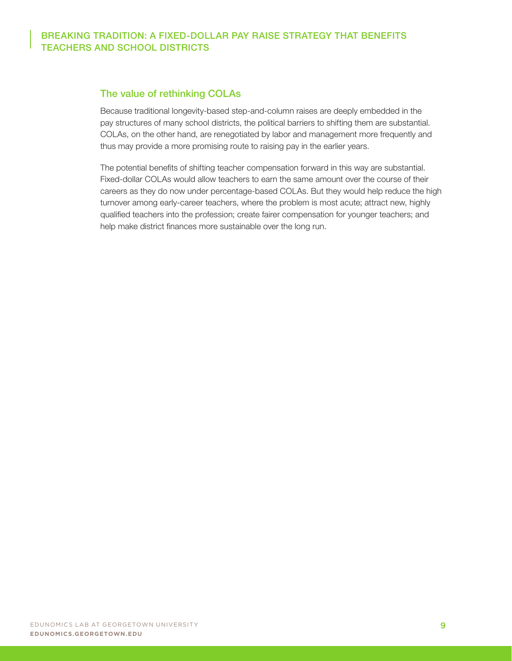#### The value of rethinking COLAs

Because traditional longevity-based step-and-column raises are deeply embedded in the pay structures of many school districts, the political barriers to shifting them are substantial. COLAs, on the other hand, are renegotiated by labor and management more frequently and thus may provide a more promising route to raising pay in the earlier years.

The potential benefits of shifting teacher compensation forward in this way are substantial. Fixed-dollar COLAs would allow teachers to earn the same amount over the course of their careers as they do now under percentage-based COLAs. But they would help reduce the high turnover among early-career teachers, where the problem is most acute; attract new, highly qualified teachers into the profession; create fairer compensation for younger teachers; and help make district finances more sustainable over the long run.